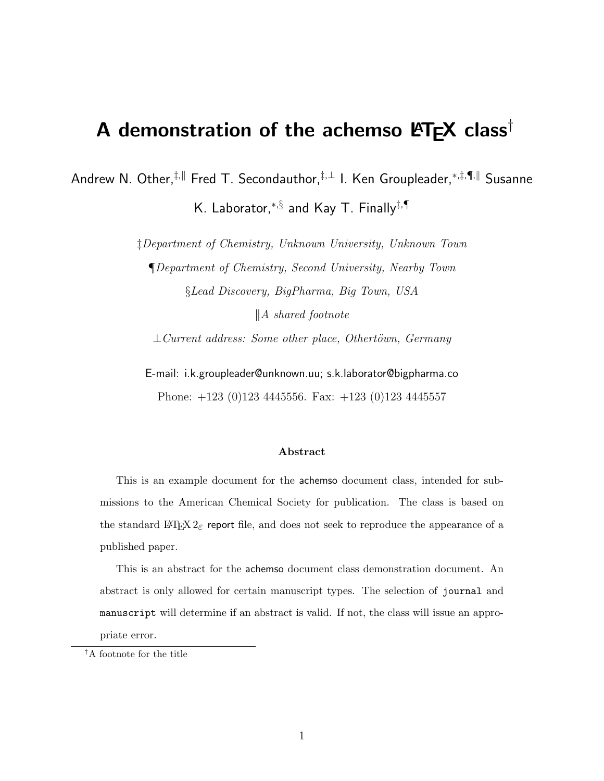# A demonstration of the achemso  $\mathbf{P}\mathbf{T}_{\mathbf{E}}\mathbf{X}$  class<sup>†</sup>

Andrew N. Other,<sup>‡,||</sup> Fred T. Secondauthor,<sup>‡,⊥</sup> I. Ken Groupleader,<sup>\*,‡,¶,||</sup> Susanne

K. Laborator, $^{*,\S}$  and Kay T. Finally $^{\ddagger,\P}$ 

‡Department of Chemistry, Unknown University, Unknown Town

¶Department of Chemistry, Second University, Nearby Town §Lead Discovery, BigPharma, Big Town, USA

 $\parallel$ A shared footnote

 $\bot$ Current address: Some other place, Othertöwn, Germany

E-mail: i.k.groupleader@unknown.uu; s.k.laborator@bigpharma.co

Phone: +123 (0)123 4445556. Fax: +123 (0)123 4445557

#### Abstract

This is an example document for the achemso document class, intended for submissions to the American Chemical Society for publication. The class is based on the standard L<sup>AT</sup>EX  $2\varepsilon$  report file, and does not seek to reproduce the appearance of a published paper.

This is an abstract for the achemso document class demonstration document. An abstract is only allowed for certain manuscript types. The selection of journal and manuscript will determine if an abstract is valid. If not, the class will issue an appropriate error.

<sup>†</sup>A footnote for the title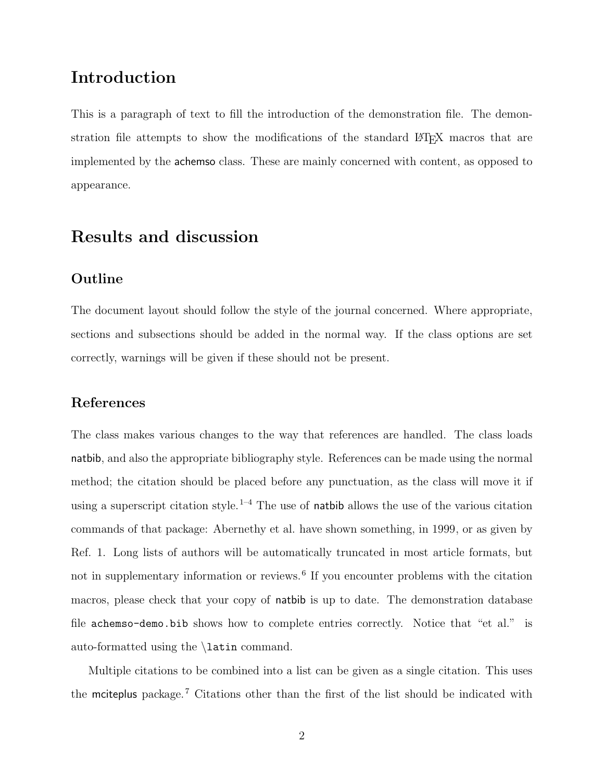# Introduction

This is a paragraph of text to fill the introduction of the demonstration file. The demonstration file attempts to show the modifications of the standard L<sup>AT</sup>EX macros that are implemented by the achemso class. These are mainly concerned with content, as opposed to appearance.

# Results and discussion

#### Outline

The document layout should follow the style of the journal concerned. Where appropriate, sections and subsections should be added in the normal way. If the class options are set correctly, warnings will be given if these should not be present.

#### References

The class makes various changes to the way that references are handled. The class loads natbib, and also the appropriate bibliography style. References can be made using the normal method; the citation should be placed before any punctuation, as the class will move it if using a superscript citation style.<sup>1-4</sup> The use of **natbib** allows the use of the various citation commands of that package: Abernethy et al. have shown something, in 1999, or as given by Ref. 1. Long lists of authors will be automatically truncated in most article formats, but not in supplementary information or reviews.<sup>6</sup> If you encounter problems with the citation macros, please check that your copy of natbib is up to date. The demonstration database file achemso-demo.bib shows how to complete entries correctly. Notice that "et al." is auto-formatted using the \latin command.

Multiple citations to be combined into a list can be given as a single citation. This uses the mciteplus package.<sup>7</sup> Citations other than the first of the list should be indicated with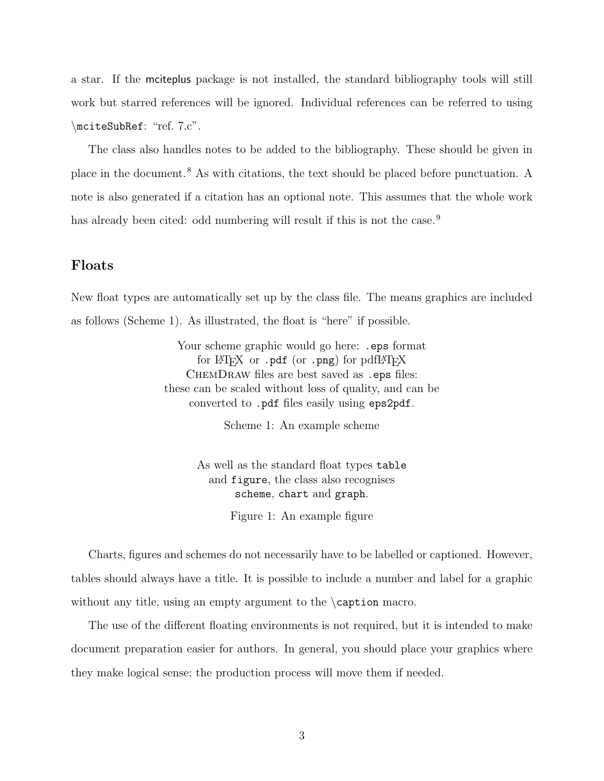a star. If the mciteplus package is not installed, the standard bibliography tools will still work but starred references will be ignored. Individual references can be referred to using \mciteSubRef: "ref. 7.c".

The class also handles notes to be added to the bibliography. These should be given in place in the document.<sup>8</sup> As with citations, the text should be placed before punctuation. A note is also generated if a citation has an optional note. This assumes that the whole work has already been cited: odd numbering will result if this is not the case.<sup>9</sup>

#### Floats

New float types are automatically set up by the class file. The means graphics are included as follows (Scheme 1). As illustrated, the float is "here" if possible.

> Your scheme graphic would go here: .eps format for  $\mathbb{F}$ F<sub>F</sub>X or .pdf (or .png) for pdf  $\mathbb{F}$ F<sub>F</sub>X ChemDraw files are best saved as .eps files: these can be scaled without loss of quality, and can be converted to .pdf files easily using eps2pdf.

> > Scheme 1: An example scheme

As well as the standard float types table and figure, the class also recognises scheme, chart and graph.

Figure 1: An example figure

Charts, figures and schemes do not necessarily have to be labelled or captioned. However, tables should always have a title. It is possible to include a number and label for a graphic without any title, using an empty argument to the \caption macro.

The use of the different floating environments is not required, but it is intended to make document preparation easier for authors. In general, you should place your graphics where they make logical sense; the production process will move them if needed.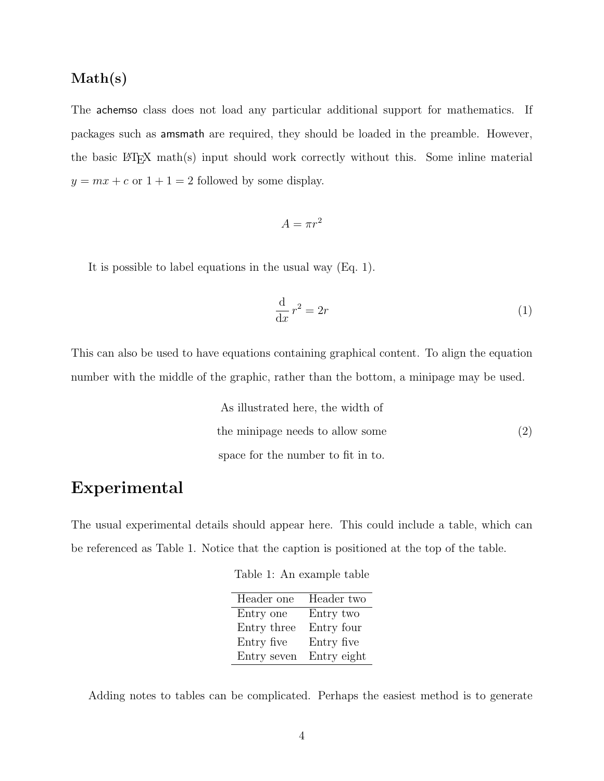#### Math(s)

The achemso class does not load any particular additional support for mathematics. If packages such as amsmath are required, they should be loaded in the preamble. However, the basic  $\mathbb{P}\mathrm{Tr} X$  math(s) input should work correctly without this. Some inline material  $y = mx + c$  or  $1 + 1 = 2$  followed by some display.

$$
A = \pi r^2
$$

It is possible to label equations in the usual way (Eq. 1).

$$
\frac{\mathrm{d}}{\mathrm{d}x}r^2 = 2r\tag{1}
$$

This can also be used to have equations containing graphical content. To align the equation number with the middle of the graphic, rather than the bottom, a minipage may be used.

> As illustrated here, the width of the minipage needs to allow some space for the number to fit in to. (2)

## Experimental

The usual experimental details should appear here. This could include a table, which can be referenced as Table 1. Notice that the caption is positioned at the top of the table.

Table 1: An example table

| Header one  | Header two  |
|-------------|-------------|
| Entry one   | Entry two   |
| Entry three | Entry four  |
| Entry five  | Entry five  |
| Entry seven | Entry eight |

Adding notes to tables can be complicated. Perhaps the easiest method is to generate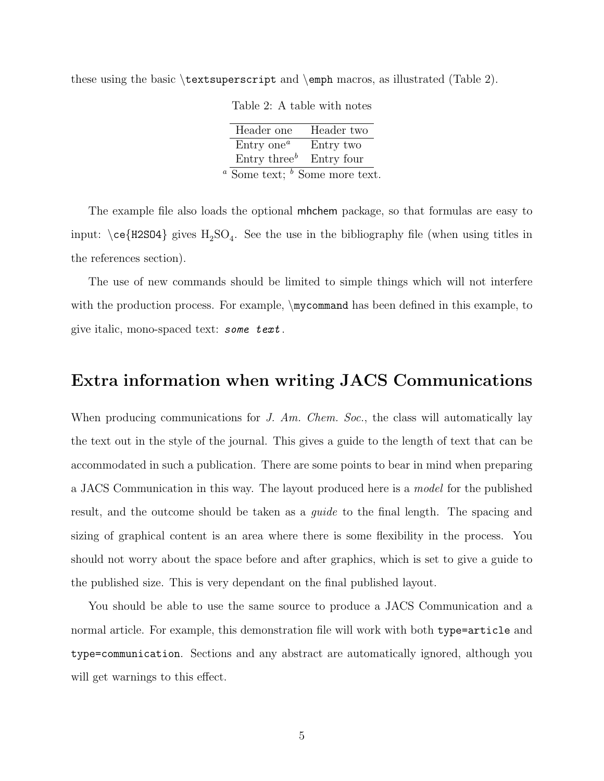these using the basic \textsuperscript and \emph macros, as illustrated (Table 2).

| Header one                                       | Header two |
|--------------------------------------------------|------------|
| $Entry$ one <sup><math>a</math></sup>            | Entry two  |
| Entry three <sup><math>b</math></sup> Entry four |            |
| $\alpha$ Some text; $\delta$ Some more text.     |            |

Table 2: A table with notes

The example file also loads the optional mhchem package, so that formulas are easy to input:  $\ceq$  (H2SO4) gives  $H_2SO_4$ . See the use in the bibliography file (when using titles in the references section).

The use of new commands should be limited to simple things which will not interfere with the production process. For example,  $\mu$ command has been defined in this example, to give italic, mono-spaced text: some text.

### Extra information when writing JACS Communications

When producing communications for  $J.$  Am. Chem. Soc., the class will automatically lay the text out in the style of the journal. This gives a guide to the length of text that can be accommodated in such a publication. There are some points to bear in mind when preparing a JACS Communication in this way. The layout produced here is a model for the published result, and the outcome should be taken as a *quide* to the final length. The spacing and sizing of graphical content is an area where there is some flexibility in the process. You should not worry about the space before and after graphics, which is set to give a guide to the published size. This is very dependant on the final published layout.

You should be able to use the same source to produce a JACS Communication and a normal article. For example, this demonstration file will work with both type=article and type=communication. Sections and any abstract are automatically ignored, although you will get warnings to this effect.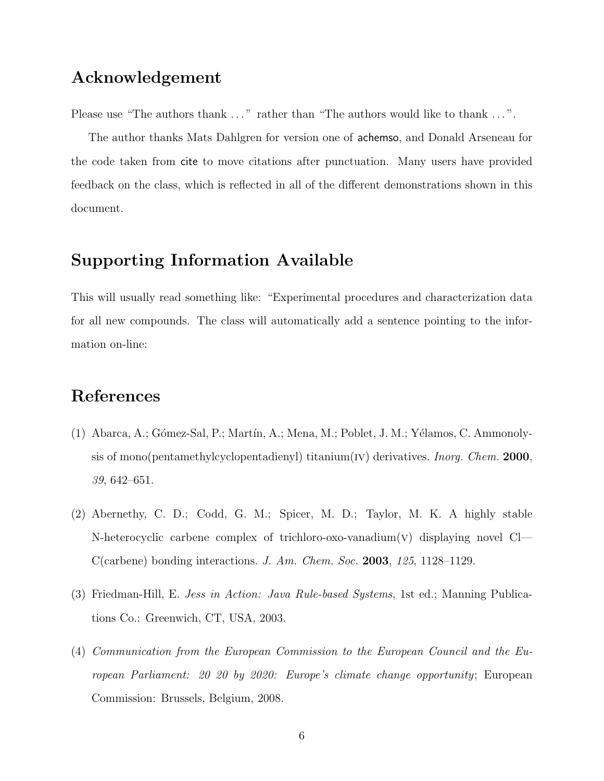# Acknowledgement

Please use "The authors thank ..." rather than "The authors would like to thank ...".

The author thanks Mats Dahlgren for version one of achemso, and Donald Arseneau for the code taken from cite to move citations after punctuation. Many users have provided feedback on the class, which is reflected in all of the different demonstrations shown in this document.

# Supporting Information Available

This will usually read something like: "Experimental procedures and characterization data for all new compounds. The class will automatically add a sentence pointing to the information on-line:

# References

- (1) Abarca, A.; Gómez-Sal, P.; Martín, A.; Mena, M.; Poblet, J. M.; Yélamos, C. Ammonolysis of mono(pentamethylcyclopentadienyl) titanium(IV) derivatives. *Inorg. Chem.* 2000, 39, 642–651.
- (2) Abernethy, C. D.; Codd, G. M.; Spicer, M. D.; Taylor, M. K. A highly stable N-heterocyclic carbene complex of trichloro-oxo-vanadium(v) displaying novel Cl— C(carbene) bonding interactions. J. Am. Chem. Soc. 2003, 125, 1128–1129.
- (3) Friedman-Hill, E. Jess in Action: Java Rule-based Systems, 1st ed.; Manning Publications Co.: Greenwich, CT, USA, 2003.
- (4) Communication from the European Commission to the European Council and the European Parliament: 20 20 by 2020: Europe's climate change opportunity; European Commission: Brussels, Belgium, 2008.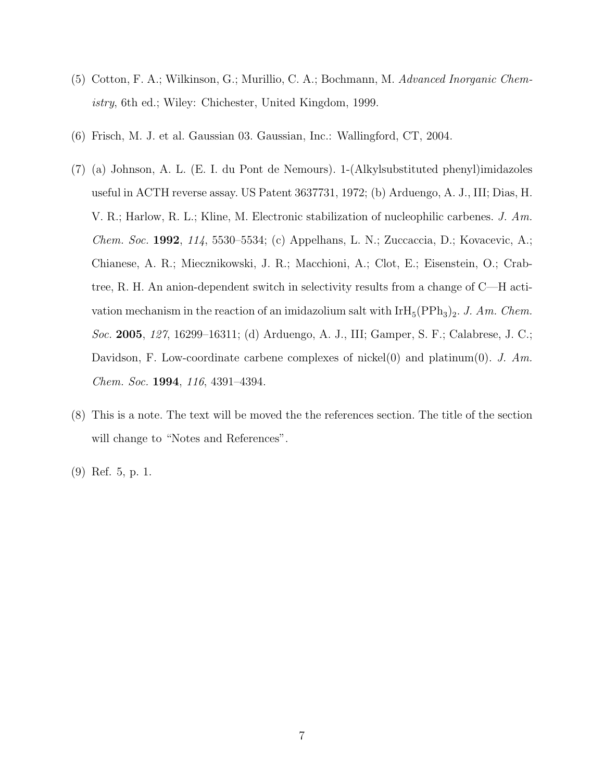- (5) Cotton, F. A.; Wilkinson, G.; Murillio, C. A.; Bochmann, M. Advanced Inorganic Chemistry, 6th ed.; Wiley: Chichester, United Kingdom, 1999.
- (6) Frisch, M. J. et al. Gaussian 03. Gaussian, Inc.: Wallingford, CT, 2004.
- (7) (a) Johnson, A. L. (E. I. du Pont de Nemours). 1-(Alkylsubstituted phenyl)imidazoles useful in ACTH reverse assay. US Patent 3637731, 1972; (b) Arduengo, A. J., III; Dias, H. V. R.; Harlow, R. L.; Kline, M. Electronic stabilization of nucleophilic carbenes. J. Am. Chem. Soc. 1992, 114, 5530–5534; (c) Appelhans, L. N.; Zuccaccia, D.; Kovacevic, A.; Chianese, A. R.; Miecznikowski, J. R.; Macchioni, A.; Clot, E.; Eisenstein, O.; Crabtree, R. H. An anion-dependent switch in selectivity results from a change of C—H activation mechanism in the reaction of an imidazolium salt with  $\text{IrH}_5(\text{PPh}_3)_2$ . J. Am. Chem. Soc. 2005, 127, 16299–16311; (d) Arduengo, A. J., III; Gamper, S. F.; Calabrese, J. C.; Davidson, F. Low-coordinate carbene complexes of nickel(0) and platinum(0). J. Am. Chem. Soc. 1994, 116, 4391–4394.
- (8) This is a note. The text will be moved the the references section. The title of the section will change to "Notes and References".
- (9) Ref. 5, p. 1.